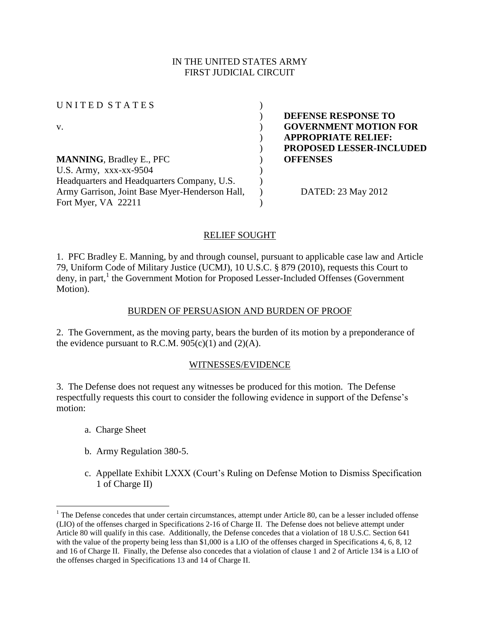## IN THE UNITED STATES ARMY FIRST JUDICIAL CIRCUIT

U N I T E D S T A T E S ( v. ) **GOVERNMENT MOTION FOR MANNING**, Bradley E., PFC ) **OFFENSES** U.S. Army,  $XXX-XX-9504$  ) Headquarters and Headquarters Company, U.S. Army Garrison, Joint Base Myer-Henderson Hall, Fort Myer, VA 22211 ) )

) **DEFENSE RESPONSE TO**  ) **APPROPRIATE RELIEF:** ) **PROPOSED LESSER-INCLUDED**

) DATED: 23 May 2012

# RELIEF SOUGHT

1. PFC Bradley E. Manning, by and through counsel, pursuant to applicable case law and Article 79, Uniform Code of Military Justice (UCMJ), 10 U.S.C. § 879 (2010), requests this Court to deny, in part,<sup>1</sup> the Government Motion for Proposed Lesser-Included Offenses (Government Motion).

## BURDEN OF PERSUASION AND BURDEN OF PROOF

2. The Government, as the moving party, bears the burden of its motion by a preponderance of the evidence pursuant to R.C.M.  $905(c)(1)$  and  $(2)(A)$ .

## WITNESSES/EVIDENCE

3. The Defense does not request any witnesses be produced for this motion. The Defense respectfully requests this court to consider the following evidence in support of the Defense's motion:

a. Charge Sheet

 $\overline{a}$ 

- b. Army Regulation 380-5.
- c. Appellate Exhibit LXXX (Court's Ruling on Defense Motion to Dismiss Specification 1 of Charge II)

 $1$  The Defense concedes that under certain circumstances, attempt under Article 80, can be a lesser included offense (LIO) of the offenses charged in Specifications 2-16 of Charge II. The Defense does not believe attempt under Article 80 will qualify in this case. Additionally, the Defense concedes that a violation of 18 U.S.C. Section 641 with the value of the property being less than \$1,000 is a LIO of the offenses charged in Specifications 4, 6, 8, 12 and 16 of Charge II. Finally, the Defense also concedes that a violation of clause 1 and 2 of Article 134 is a LIO of the offenses charged in Specifications 13 and 14 of Charge II.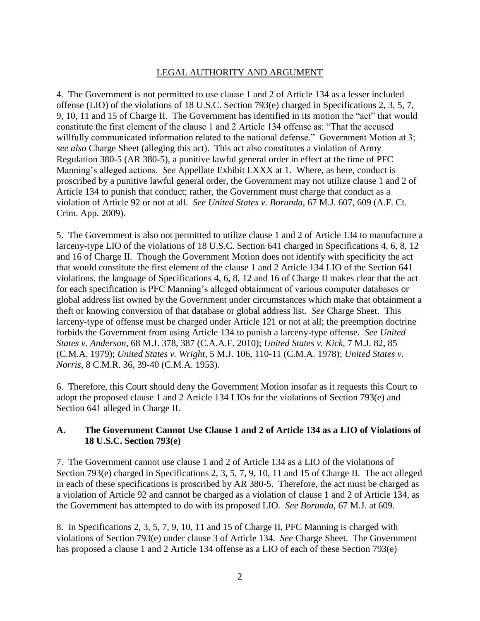### LEGAL AUTHORITY AND ARGUMENT

4. The Government is not permitted to use clause 1 and 2 of Article 134 as a lesser included offense (LIO) of the violations of 18 U.S.C. Section 793(e) charged in Specifications 2, 3, 5, 7, 9, 10, 11 and 15 of Charge II. The Government has identified in its motion the "act" that would constitute the first element of the clause 1 and 2 Article 134 offense as: "That the accused willfully communicated information related to the national defense." Government Motion at 3; *see also* Charge Sheet (alleging this act). This act also constitutes a violation of Army Regulation 380-5 (AR 380-5), a punitive lawful general order in effect at the time of PFC Manning's alleged actions. *See* Appellate Exhibit LXXX at 1. Where, as here, conduct is proscribed by a punitive lawful general order, the Government may not utilize clause 1 and 2 of Article 134 to punish that conduct; rather, the Government must charge that conduct as a violation of Article 92 or not at all. *See United States v. Borunda*, 67 M.J. 607, 609 (A.F. Ct. Crim. App. 2009).

5. The Government is also not permitted to utilize clause 1 and 2 of Article 134 to manufacture a larceny-type LIO of the violations of 18 U.S.C. Section 641 charged in Specifications 4, 6, 8, 12 and 16 of Charge II. Though the Government Motion does not identify with specificity the act that would constitute the first element of the clause 1 and 2 Article 134 LIO of the Section 641 violations, the language of Specifications 4, 6, 8, 12 and 16 of Charge II makes clear that the act for each specification is PFC Manning's alleged obtainment of various computer databases or global address list owned by the Government under circumstances which make that obtainment a theft or knowing conversion of that database or global address list. *See* Charge Sheet. This larceny-type of offense must be charged under Article 121 or not at all; the preemption doctrine forbids the Government from using Article 134 to punish a larceny-type offense. *See United States v. Anderson*, 68 M.J. 378, 387 (C.A.A.F. 2010); *United States v. Kick*, 7 M.J. 82, 85 (C.M.A. 1979); *United States v. Wright*, 5 M.J. 106, 110-11 (C.M.A. 1978); *United States v. Norris*, 8 C.M.R. 36, 39-40 (C.M.A. 1953).

6. Therefore, this Court should deny the Government Motion insofar as it requests this Court to adopt the proposed clause 1 and 2 Article 134 LIOs for the violations of Section 793(e) and Section 641 alleged in Charge II.

## **A. The Government Cannot Use Clause 1 and 2 of Article 134 as a LIO of Violations of 18 U.S.C. Section 793(e)**

7. The Government cannot use clause 1 and 2 of Article 134 as a LIO of the violations of Section 793(e) charged in Specifications 2, 3, 5, 7, 9, 10, 11 and 15 of Charge II. The act alleged in each of these specifications is proscribed by AR 380-5. Therefore, the act must be charged as a violation of Article 92 and cannot be charged as a violation of clause 1 and 2 of Article 134, as the Government has attempted to do with its proposed LIO. *See Borunda*, 67 M.J. at 609.

8. In Specifications 2, 3, 5, 7, 9, 10, 11 and 15 of Charge II, PFC Manning is charged with violations of Section 793(e) under clause 3 of Article 134. *See* Charge Sheet. The Government has proposed a clause 1 and 2 Article 134 offense as a LIO of each of these Section 793(e)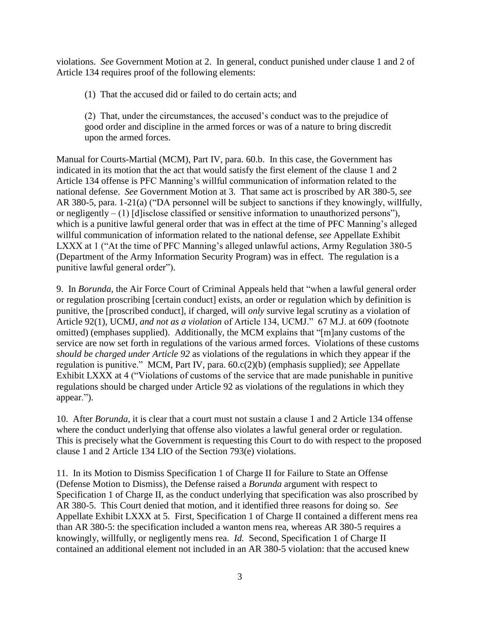violations. *See* Government Motion at 2. In general, conduct punished under clause 1 and 2 of Article 134 requires proof of the following elements:

(1) That the accused did or failed to do certain acts; and

(2) That, under the circumstances, the accused's conduct was to the prejudice of good order and discipline in the armed forces or was of a nature to bring discredit upon the armed forces.

Manual for Courts-Martial (MCM), Part IV, para. 60.b. In this case, the Government has indicated in its motion that the act that would satisfy the first element of the clause 1 and 2 Article 134 offense is PFC Manning's willful communication of information related to the national defense. *See* Government Motion at 3. That same act is proscribed by AR 380-5, *see* AR 380-5, para. 1-21(a) ("DA personnel will be subject to sanctions if they knowingly, willfully, or negligently – (1) [d]isclose classified or sensitive information to unauthorized persons"), which is a punitive lawful general order that was in effect at the time of PFC Manning's alleged willful communication of information related to the national defense, *see* Appellate Exhibit LXXX at 1 ("At the time of PFC Manning's alleged unlawful actions, Army Regulation 380-5 (Department of the Army Information Security Program) was in effect. The regulation is a punitive lawful general order").

9. In *Borunda*, the Air Force Court of Criminal Appeals held that "when a lawful general order or regulation proscribing [certain conduct] exists, an order or regulation which by definition is punitive, the [proscribed conduct], if charged, will *only* survive legal scrutiny as a violation of Article 92(1), UCMJ, *and not as a violation* of Article 134, UCMJ." 67 M.J. at 609 (footnote omitted) (emphases supplied). Additionally, the MCM explains that "[m]any customs of the service are now set forth in regulations of the various armed forces. Violations of these customs *should be charged under Article 92* as violations of the regulations in which they appear if the regulation is punitive." MCM, Part IV, para. 60.c(2)(b) (emphasis supplied); *see* Appellate Exhibit LXXX at 4 ("Violations of customs of the service that are made punishable in punitive regulations should be charged under Article 92 as violations of the regulations in which they appear.").

10. After *Borunda*, it is clear that a court must not sustain a clause 1 and 2 Article 134 offense where the conduct underlying that offense also violates a lawful general order or regulation. This is precisely what the Government is requesting this Court to do with respect to the proposed clause 1 and 2 Article 134 LIO of the Section 793(e) violations.

11. In its Motion to Dismiss Specification 1 of Charge II for Failure to State an Offense (Defense Motion to Dismiss), the Defense raised a *Borunda* argument with respect to Specification 1 of Charge II, as the conduct underlying that specification was also proscribed by AR 380-5. This Court denied that motion, and it identified three reasons for doing so. *See* Appellate Exhibit LXXX at 5. First, Specification 1 of Charge II contained a different mens rea than AR 380-5: the specification included a wanton mens rea, whereas AR 380-5 requires a knowingly, willfully, or negligently mens rea. *Id.* Second, Specification 1 of Charge II contained an additional element not included in an AR 380-5 violation: that the accused knew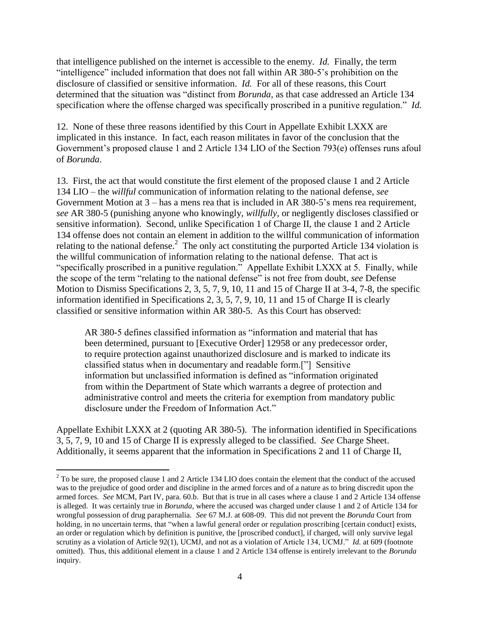that intelligence published on the internet is accessible to the enemy. *Id.* Finally, the term "intelligence" included information that does not fall within AR 380-5's prohibition on the disclosure of classified or sensitive information. *Id.* For all of these reasons, this Court determined that the situation was "distinct from *Borunda*, as that case addressed an Article 134 specification where the offense charged was specifically proscribed in a punitive regulation." *Id.*

12. None of these three reasons identified by this Court in Appellate Exhibit LXXX are implicated in this instance. In fact, each reason militates in favor of the conclusion that the Government's proposed clause 1 and 2 Article 134 LIO of the Section 793(e) offenses runs afoul of *Borunda*.

13. First, the act that would constitute the first element of the proposed clause 1 and 2 Article 134 LIO – the *willful* communication of information relating to the national defense, *see* Government Motion at 3 – has a mens rea that is included in AR 380-5's mens rea requirement, *see* AR 380-5 (punishing anyone who knowingly, *willfully*, or negligently discloses classified or sensitive information). Second, unlike Specification 1 of Charge II, the clause 1 and 2 Article 134 offense does not contain an element in addition to the willful communication of information relating to the national defense.<sup>2</sup> The only act constituting the purported Article 134 violation is the willful communication of information relating to the national defense. That act is "specifically proscribed in a punitive regulation." Appellate Exhibit LXXX at 5. Finally, while the scope of the term "relating to the national defense" is not free from doubt, *see* Defense Motion to Dismiss Specifications 2, 3, 5, 7, 9, 10, 11 and 15 of Charge II at 3-4, 7-8, the specific information identified in Specifications 2, 3, 5, 7, 9, 10, 11 and 15 of Charge II is clearly classified or sensitive information within AR 380-5. As this Court has observed:

AR 380-5 defines classified information as "information and material that has been determined, pursuant to [Executive Order] 12958 or any predecessor order, to require protection against unauthorized disclosure and is marked to indicate its classified status when in documentary and readable form.["] Sensitive information but unclassified information is defined as "information originated from within the Department of State which warrants a degree of protection and administrative control and meets the criteria for exemption from mandatory public disclosure under the Freedom of Information Act."

Appellate Exhibit LXXX at 2 (quoting AR 380-5). The information identified in Specifications 3, 5, 7, 9, 10 and 15 of Charge II is expressly alleged to be classified. *See* Charge Sheet. Additionally, it seems apparent that the information in Specifications 2 and 11 of Charge II,

 $\overline{a}$ 

 $2$  To be sure, the proposed clause 1 and 2 Article 134 LIO does contain the element that the conduct of the accused was to the prejudice of good order and discipline in the armed forces and of a nature as to bring discredit upon the armed forces. *See* MCM, Part IV, para. 60.b. But that is true in all cases where a clause 1 and 2 Article 134 offense is alleged. It was certainly true in *Borunda*, where the accused was charged under clause 1 and 2 of Article 134 for wrongful possession of drug paraphernalia. *See* 67 M.J. at 608-09. This did not prevent the *Borunda* Court from holding, in no uncertain terms, that "when a lawful general order or regulation proscribing [certain conduct] exists, an order or regulation which by definition is punitive, the [proscribed conduct], if charged, will only survive legal scrutiny as a violation of Article 92(1), UCMJ, and not as a violation of Article 134, UCMJ." *Id.* at 609 (footnote omitted). Thus, this additional element in a clause 1 and 2 Article 134 offense is entirely irrelevant to the *Borunda* inquiry.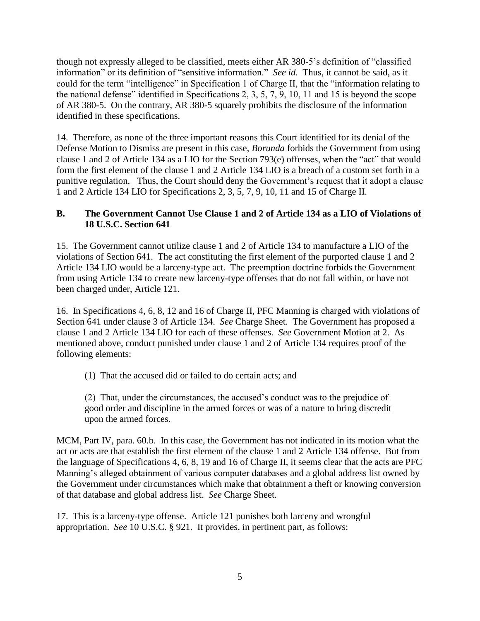though not expressly alleged to be classified, meets either AR 380-5's definition of "classified information" or its definition of "sensitive information." *See id.* Thus, it cannot be said, as it could for the term "intelligence" in Specification 1 of Charge II, that the "information relating to the national defense" identified in Specifications 2, 3, 5, 7, 9, 10, 11 and 15 is beyond the scope of AR 380-5. On the contrary, AR 380-5 squarely prohibits the disclosure of the information identified in these specifications.

14. Therefore, as none of the three important reasons this Court identified for its denial of the Defense Motion to Dismiss are present in this case, *Borunda* forbids the Government from using clause 1 and 2 of Article 134 as a LIO for the Section 793(e) offenses, when the "act" that would form the first element of the clause 1 and 2 Article 134 LIO is a breach of a custom set forth in a punitive regulation. Thus, the Court should deny the Government's request that it adopt a clause 1 and 2 Article 134 LIO for Specifications 2, 3, 5, 7, 9, 10, 11 and 15 of Charge II.

# **B. The Government Cannot Use Clause 1 and 2 of Article 134 as a LIO of Violations of 18 U.S.C. Section 641**

15. The Government cannot utilize clause 1 and 2 of Article 134 to manufacture a LIO of the violations of Section 641. The act constituting the first element of the purported clause 1 and 2 Article 134 LIO would be a larceny-type act. The preemption doctrine forbids the Government from using Article 134 to create new larceny-type offenses that do not fall within, or have not been charged under, Article 121.

16. In Specifications 4, 6, 8, 12 and 16 of Charge II, PFC Manning is charged with violations of Section 641 under clause 3 of Article 134. *See* Charge Sheet. The Government has proposed a clause 1 and 2 Article 134 LIO for each of these offenses. *See* Government Motion at 2. As mentioned above, conduct punished under clause 1 and 2 of Article 134 requires proof of the following elements:

(1) That the accused did or failed to do certain acts; and

(2) That, under the circumstances, the accused's conduct was to the prejudice of good order and discipline in the armed forces or was of a nature to bring discredit upon the armed forces.

MCM, Part IV, para. 60.b. In this case, the Government has not indicated in its motion what the act or acts are that establish the first element of the clause 1 and 2 Article 134 offense. But from the language of Specifications 4, 6, 8, 19 and 16 of Charge II, it seems clear that the acts are PFC Manning's alleged obtainment of various computer databases and a global address list owned by the Government under circumstances which make that obtainment a theft or knowing conversion of that database and global address list. *See* Charge Sheet.

17. This is a larceny-type offense. Article 121 punishes both larceny and wrongful appropriation. *See* 10 U.S.C. § 921. It provides, in pertinent part, as follows: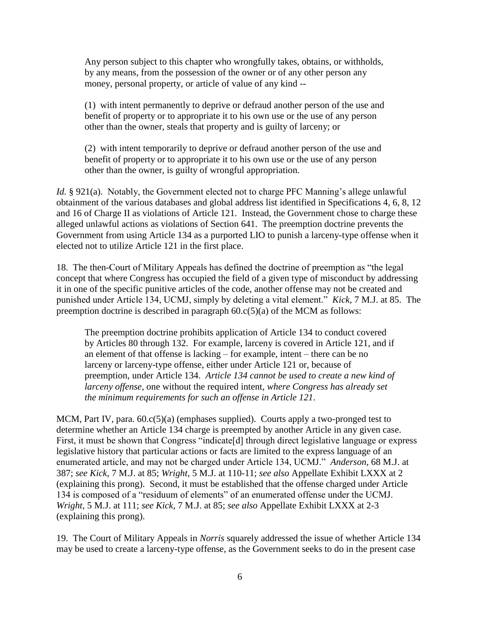Any person subject to this chapter who wrongfully takes, obtains, or withholds, by any means, from the possession of the owner or of any other person any money, personal property, or article of value of any kind --

(1) with intent permanently to deprive or defraud another person of the use and benefit of property or to appropriate it to his own use or the use of any person other than the owner, steals that property and is guilty of larceny; or

(2) with intent temporarily to deprive or defraud another person of the use and benefit of property or to appropriate it to his own use or the use of any person other than the owner, is guilty of wrongful appropriation.

*Id.* § 921(a). Notably, the Government elected not to charge PFC Manning's allege unlawful obtainment of the various databases and global address list identified in Specifications 4, 6, 8, 12 and 16 of Charge II as violations of Article 121. Instead, the Government chose to charge these alleged unlawful actions as violations of Section 641. The preemption doctrine prevents the Government from using Article 134 as a purported LIO to punish a larceny-type offense when it elected not to utilize Article 121 in the first place.

18. The then-Court of Military Appeals has defined the doctrine of preemption as "the legal concept that where Congress has occupied the field of a given type of misconduct by addressing it in one of the specific punitive articles of the code, another offense may not be created and punished under Article 134, UCMJ, simply by deleting a vital element." *Kick*, 7 M.J. at 85. The preemption doctrine is described in paragraph 60.c(5)(a) of the MCM as follows:

The preemption doctrine prohibits application of Article 134 to conduct covered by Articles 80 through 132. For example, larceny is covered in Article 121, and if an element of that offense is lacking – for example, intent – there can be no larceny or larceny-type offense, either under Article 121 or, because of preemption, under Article 134. *Article 134 cannot be used to create a new kind of larceny offense*, one without the required intent, *where Congress has already set the minimum requirements for such an offense in Article 121*.

MCM, Part IV, para.  $60 \cdot c(5)(a)$  (emphases supplied). Courts apply a two-pronged test to determine whether an Article 134 charge is preempted by another Article in any given case. First, it must be shown that Congress "indicate<sup>[d]</sup> through direct legislative language or express legislative history that particular actions or facts are limited to the express language of an enumerated article, and may not be charged under Article 134, UCMJ." *Anderson*, 68 M.J. at 387; *see Kick*, 7 M.J. at 85; *Wright*, 5 M.J. at 110-11; *see also* Appellate Exhibit LXXX at 2 (explaining this prong). Second, it must be established that the offense charged under Article 134 is composed of a "residuum of elements" of an enumerated offense under the UCMJ. *Wright*, 5 M.J. at 111; *see Kick*, 7 M.J. at 85; *see also* Appellate Exhibit LXXX at 2-3 (explaining this prong).

19. The Court of Military Appeals in *Norris* squarely addressed the issue of whether Article 134 may be used to create a larceny-type offense, as the Government seeks to do in the present case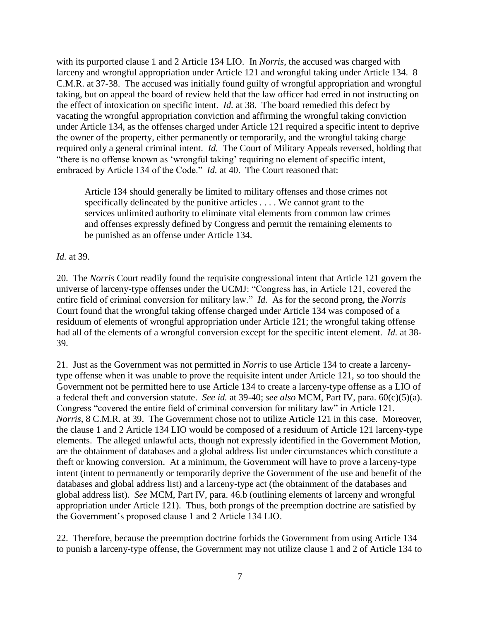with its purported clause 1 and 2 Article 134 LIO. In *Norris*, the accused was charged with larceny and wrongful appropriation under Article 121 and wrongful taking under Article 134. 8 C.M.R. at 37-38. The accused was initially found guilty of wrongful appropriation and wrongful taking, but on appeal the board of review held that the law officer had erred in not instructing on the effect of intoxication on specific intent. *Id.* at 38. The board remedied this defect by vacating the wrongful appropriation conviction and affirming the wrongful taking conviction under Article 134, as the offenses charged under Article 121 required a specific intent to deprive the owner of the property, either permanently or temporarily, and the wrongful taking charge required only a general criminal intent. *Id.* The Court of Military Appeals reversed, holding that "there is no offense known as 'wrongful taking' requiring no element of specific intent, embraced by Article 134 of the Code." *Id.* at 40. The Court reasoned that:

Article 134 should generally be limited to military offenses and those crimes not specifically delineated by the punitive articles . . . . We cannot grant to the services unlimited authority to eliminate vital elements from common law crimes and offenses expressly defined by Congress and permit the remaining elements to be punished as an offense under Article 134.

#### *Id.* at 39.

20. The *Norris* Court readily found the requisite congressional intent that Article 121 govern the universe of larceny-type offenses under the UCMJ: "Congress has, in Article 121, covered the entire field of criminal conversion for military law." *Id.* As for the second prong, the *Norris*  Court found that the wrongful taking offense charged under Article 134 was composed of a residuum of elements of wrongful appropriation under Article 121; the wrongful taking offense had all of the elements of a wrongful conversion except for the specific intent element. *Id.* at 38- 39.

21. Just as the Government was not permitted in *Norris* to use Article 134 to create a larcenytype offense when it was unable to prove the requisite intent under Article 121, so too should the Government not be permitted here to use Article 134 to create a larceny-type offense as a LIO of a federal theft and conversion statute. *See id.* at 39-40; *see also* MCM, Part IV, para. 60(c)(5)(a). Congress "covered the entire field of criminal conversion for military law" in Article 121. *Norris*, 8 C.M.R. at 39. The Government chose not to utilize Article 121 in this case. Moreover, the clause 1 and 2 Article 134 LIO would be composed of a residuum of Article 121 larceny-type elements. The alleged unlawful acts, though not expressly identified in the Government Motion, are the obtainment of databases and a global address list under circumstances which constitute a theft or knowing conversion. At a minimum, the Government will have to prove a larceny-type intent (intent to permanently or temporarily deprive the Government of the use and benefit of the databases and global address list) and a larceny-type act (the obtainment of the databases and global address list). *See* MCM, Part IV, para. 46.b (outlining elements of larceny and wrongful appropriation under Article 121). Thus, both prongs of the preemption doctrine are satisfied by the Government's proposed clause 1 and 2 Article 134 LIO.

22. Therefore, because the preemption doctrine forbids the Government from using Article 134 to punish a larceny-type offense, the Government may not utilize clause 1 and 2 of Article 134 to